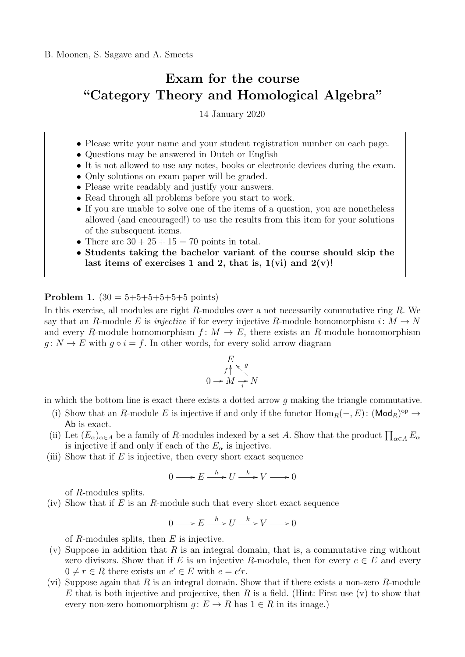## Exam for the course "Category Theory and Homological Algebra"

14 January 2020

- Please write your name and your student registration number on each page.
- Questions may be answered in Dutch or English
- It is not allowed to use any notes, books or electronic devices during the exam.
- Only solutions on exam paper will be graded.
- Please write readably and justify your answers.
- Read through all problems before you start to work.
- If you are unable to solve one of the items of a question, you are nonetheless allowed (and encouraged!) to use the results from this item for your solutions of the subsequent items.
- There are  $30 + 25 + 15 = 70$  points in total.
- Students taking the bachelor variant of the course should skip the last items of exercises 1 and 2, that is,  $1(vi)$  and  $2(v)!$

**Problem 1.**  $(30 = 5 + 5 + 5 + 5 + 5 + 5)$  points)

In this exercise, all modules are right  $R$ -modules over a not necessarily commutative ring  $R$ . We say that an R-module E is *injective* if for every injective R-module homomorphism  $i: M \to N$ and every R-module homomorphism  $f: M \to E$ , there exists an R-module homomorphism  $g: N \to E$  with  $g \circ i = f$ . In other words, for every solid arrow diagram

$$
E
$$
  
 $f \uparrow \searrow g$   
 $0 \rightarrow M \rightarrow N$ 

in which the bottom line is exact there exists a dotted arrow  $q$  making the triangle commutative.

- (i) Show that an R-module E is injective if and only if the functor  $\text{Hom}_R(-, E)$ :  $(\text{Mod}_R)^{\text{op}} \to$ Ab is exact.
- (ii) Let  $(E_{\alpha})_{\alpha \in A}$  be a family of R-modules indexed by a set A. Show that the product  $\prod_{\alpha \in A} E_{\alpha}$ is injective if and only if each of the  $E_{\alpha}$  is injective.
- (iii) Show that if  $E$  is injective, then every short exact sequence

$$
0 \longrightarrow E \xrightarrow{h} U \xrightarrow{k} V \longrightarrow 0
$$

of R-modules splits.

(iv) Show that if  $E$  is an  $R$ -module such that every short exact sequence

$$
0 \longrightarrow E \xrightarrow{h} U \xrightarrow{k} V \longrightarrow 0
$$

of  $R$ -modules splits, then  $E$  is injective.

- (v) Suppose in addition that  $R$  is an integral domain, that is, a commutative ring without zero divisors. Show that if E is an injective R-module, then for every  $e \in E$  and every  $0 \neq r \in R$  there exists an  $e' \in E$  with  $e = e'r$ .
- (vi) Suppose again that R is an integral domain. Show that if there exists a non-zero R-module E that is both injective and projective, then R is a field. (Hint: First use (v) to show that every non-zero homomorphism  $g: E \to R$  has  $1 \in R$  in its image.)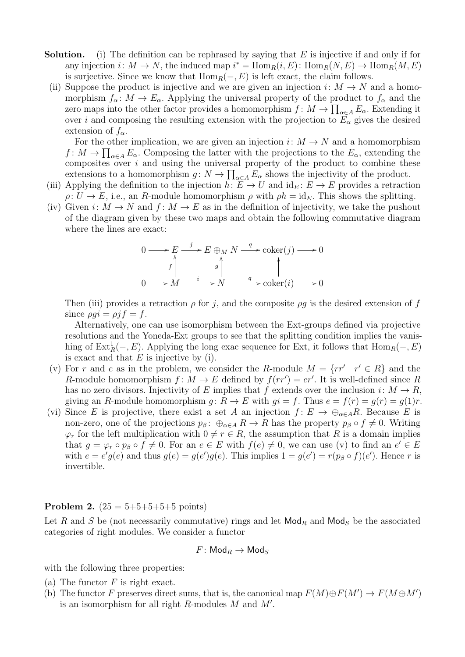- **Solution.** (i) The definition can be rephrased by saying that  $E$  is injective if and only if for any injection  $i: M \to N$ , the induced map  $i^* = \text{Hom}_R(i, E)$ :  $\text{Hom}_R(N, E) \to \text{Hom}_R(M, E)$ is surjective. Since we know that  $\text{Hom}_R(-, E)$  is left exact, the claim follows.
	- (ii) Suppose the product is injective and we are given an injection  $i: M \to N$  and a homomorphism  $f_{\alpha}: M \to E_{\alpha}$ . Applying the universal property of the product to  $f_{\alpha}$  and the zero maps into the other factor provides a homomorphism  $f: M \to \prod_{\alpha \in A} E_{\alpha}$ . Extending it over i and composing the resulting extension with the projection to  $E_{\alpha}$  gives the desired extension of  $f_{\alpha}$ .

For the other implication, we are given an injection  $i: M \to N$  and a homomorphism  $f: M \to \prod_{\alpha \in A} E_{\alpha}$ . Composing the latter with the projections to the  $E_{\alpha}$ , extending the composites over  $i$  and using the universal property of the product to combine these extensions to a homomorphism  $g: N \to \prod_{\alpha \in A} E_{\alpha}$  shows the injectivity of the product.

- (iii) Applying the definition to the injection  $h: E \to U$  and  $id_E: E \to E$  provides a retraction  $\rho: U \to E$ , i.e., an R-module homomorphism  $\rho$  with  $\rho h = id_E$ . This shows the splitting.
- (iv) Given  $i: M \to N$  and  $f: M \to E$  as in the definition of injectivity, we take the pushout of the diagram given by these two maps and obtain the following commutative diagram where the lines are exact:

$$
0 \longrightarrow E \xrightarrow{j} E \oplus_M N \xrightarrow{q} \text{coker}(j) \longrightarrow 0
$$
  

$$
f \qquad g \qquad g \qquad g \qquad g
$$
  

$$
0 \longrightarrow M \xrightarrow{i} N \xrightarrow{q} \text{coker}(i) \longrightarrow 0
$$

Then (iii) provides a retraction  $\rho$  for j, and the composite  $\rho q$  is the desired extension of f since  $\rho q i = \rho f = f$ .

Alternatively, one can use isomorphism between the Ext-groups defined via projective resolutions and the Yoneda-Ext groups to see that the splitting condition implies the vanishing of  $\text{Ext}_{R}^{1}(-, E)$ . Applying the long exac sequence for Ext, it follows that  $\text{Hom}_{R}(-, E)$ is exact and that  $E$  is injective by (i).

- (v) For r and e as in the problem, we consider the R-module  $M = \{rr' | r' \in R\}$  and the R-module homomorphism  $f: M \to E$  defined by  $f(rr') = er'$ . It is well-defined since R has no zero divisors. Injectivity of E implies that f extends over the inclusion  $i: M \to R$ , giving an R-module homomorphism  $g: R \to E$  with  $gi = f$ . Thus  $e = f(r) = g(r) = g(1)r$ .
- (vi) Since E is projective, there exist a set A an injection  $f: E \to \bigoplus_{\alpha \in A} R$ . Because E is non-zero, one of the projections  $p_\beta: \bigoplus_{\alpha \in A} R \to R$  has the property  $p_\beta \circ f \neq 0$ . Writing  $\varphi_r$  for the left multiplication with  $0 \neq r \in R$ , the assumption that R is a domain implies that  $g = \varphi_r \circ p_\beta \circ f \neq 0$ . For an  $e \in E$  with  $f(e) \neq 0$ , we can use (v) to find an  $e' \in E$ with  $e = e'g(e)$  and thus  $g(e) = g(e')g(e)$ . This implies  $1 = g(e') = r(p_\beta \circ f)(e')$ . Hence r is invertible.

**Problem 2.**  $(25 = 5 + 5 + 5 + 5 + 5)$  points)

Let R and S be (not necessarily commutative) rings and let  $\mathsf{Mod}_R$  and  $\mathsf{Mod}_S$  be the associated categories of right modules. We consider a functor

$$
F\colon \mathsf{Mod}_R \to \mathsf{Mod}_S
$$

with the following three properties:

- (a) The functor  $F$  is right exact.
- (b) The functor F preserves direct sums, that is, the canonical map  $F(M) \oplus F(M') \to F(M \oplus M')$ is an isomorphism for all right  $R$ -modules  $M$  and  $M'$ .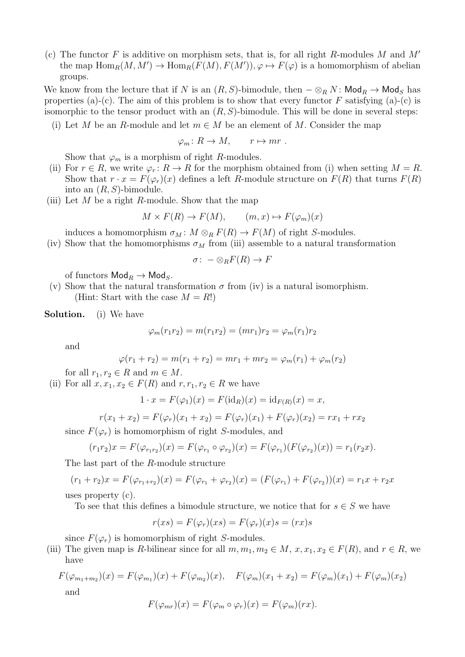(c) The functor F is additive on morphism sets, that is, for all right R-modules M and  $M'$ the map  $\text{Hom}_R(M, M') \to \text{Hom}_R(F(M), F(M'))$ ,  $\varphi \mapsto F(\varphi)$  is a homomorphism of abelian groups.

We know from the lecture that if N is an  $(R, S)$ -bimodule, then  $-\otimes_R N$ : Mod $_R \to \text{Mod}_S$  has properties (a)-(c). The aim of this problem is to show that every functor F satisfying (a)-(c) is isomorphic to the tensor product with an  $(R, S)$ -bimodule. This will be done in several steps:

(i) Let M be an R-module and let  $m \in M$  be an element of M. Consider the map

$$
\varphi_m\colon R\to M, \qquad r\mapsto mr\ .
$$

Show that  $\varphi_m$  is a morphism of right R-modules.

- (ii) For  $r \in R$ , we write  $\varphi_r : R \to R$  for the morphism obtained from (i) when setting  $M = R$ . Show that  $r \cdot x = F(\varphi_r)(x)$  defines a left R-module structure on  $F(R)$  that turns  $F(R)$ into an  $(R, S)$ -bimodule.
- (iii) Let M be a right R-module. Show that the map

$$
M \times F(R) \to F(M)
$$
,  $(m, x) \mapsto F(\varphi_m)(x)$ 

induces a homomorphism  $\sigma_M : M \otimes_R F(R) \to F(M)$  of right S-modules.

(iv) Show that the homomorphisms  $\sigma_M$  from (iii) assemble to a natural transformation

$$
\sigma: \ - \otimes_R F(R) \to F
$$

of functors  $\mathsf{Mod}_R \to \mathsf{Mod}_S$ .

(v) Show that the natural transformation  $\sigma$  from (iv) is a natural isomorphism. (Hint: Start with the case  $M = R!$ )

Solution. (i) We have

$$
\varphi_m(r_1r_2) = m(r_1r_2) = (mr_1)r_2 = \varphi_m(r_1)r_2
$$

and

$$
\varphi(r_1 + r_2) = m(r_1 + r_2) = mr_1 + mr_2 = \varphi_m(r_1) + \varphi_m(r_2)
$$

for all  $r_1, r_2 \in R$  and  $m \in M$ .

(ii) For all  $x, x_1, x_2 \in F(R)$  and  $r, r_1, r_2 \in R$  we have

$$
1 \cdot x = F(\varphi_1)(x) = F(\mathrm{id}_R)(x) = \mathrm{id}_{F(R)}(x) = x,
$$

$$
r(x_1 + x_2) = F(\varphi_r)(x_1 + x_2) = F(\varphi_r)(x_1) + F(\varphi_r)(x_2) = rx_1 + rx_2
$$

since  $F(\varphi_r)$  is homomorphism of right S-modules, and

$$
(r_1r_2)x = F(\varphi_{r_1r_2})(x) = F(\varphi_{r_1} \circ \varphi_{r_2})(x) = F(\varphi_{r_1})(F(\varphi_{r_2})(x)) = r_1(r_2x).
$$

The last part of the R-module structure

$$
(r_1 + r_2)x = F(\varphi_{r_1+r_2})(x) = F(\varphi_{r_1} + \varphi_{r_2})(x) = (F(\varphi_{r_1}) + F(\varphi_{r_2}))(x) = r_1x + r_2x
$$

uses property (c).

To see that this defines a bimodule structure, we notice that for  $s \in S$  we have

$$
r(xs) = F(\varphi_r)(xs) = F(\varphi_r)(x)s = (rx)s
$$

since  $F(\varphi_r)$  is homomorphism of right S-modules.

(iii) The given map is R-bilinear since for all  $m, m_1, m_2 \in M$ ,  $x, x_1, x_2 \in F(R)$ , and  $r \in R$ , we have

$$
F(\varphi_{m_1+m_2})(x) = F(\varphi_{m_1})(x) + F(\varphi_{m_2})(x), \quad F(\varphi_m)(x_1 + x_2) = F(\varphi_m)(x_1) + F(\varphi_m)(x_2)
$$
  
and

$$
F(\varphi_{mr})(x) = F(\varphi_m \circ \varphi_r)(x) = F(\varphi_m)(rx).
$$